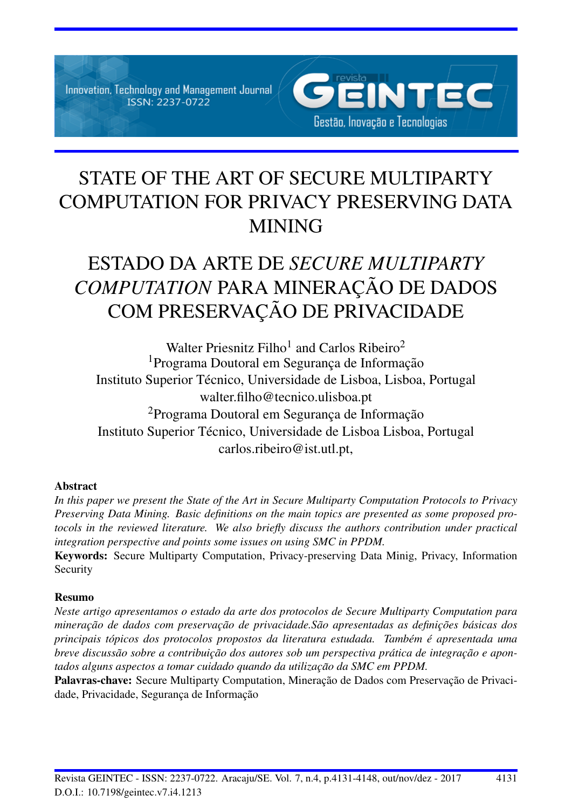Innovation, Technology and Management Journal ISSN: 2237-0722



# STATE OF THE ART OF SECURE MULTIPARTY COMPUTATION FOR PRIVACY PRESERVING DATA MINING

# ESTADO DA ARTE DE *SECURE MULTIPARTY* **COMPUTATION PARA MINERAÇÃO DE DADOS** COM PRESERVAÇÃO DE PRIVACIDADE

Walter Priesnitz Filho<sup>1</sup> and Carlos Ribeiro<sup>2</sup> <sup>1</sup> Programa Doutoral em Segurança de Informação Instituto Superior Técnico, Universidade de Lisboa, Lisboa, Portugal walter.filho@tecnico.ulisboa.pt <sup>2</sup>Programa Doutoral em Segurança de Informação Instituto Superior Técnico, Universidade de Lisboa Lisboa, Portugal carlos.ribeiro@ist.utl.pt,

## Abstract

*In this paper we present the State of the Art in Secure Multiparty Computation Protocols to Privacy Preserving Data Mining. Basic definitions on the main topics are presented as some proposed protocols in the reviewed literature. We also briefly discuss the authors contribution under practical integration perspective and points some issues on using SMC in PPDM.*

Keywords: Secure Multiparty Computation, Privacy-preserving Data Minig, Privacy, Information Security

## Resumo

*Neste artigo apresentamos o estado da arte dos protocolos de Secure Multiparty Computation para minerac¸ao de dados com preservac¸ ˜ ao de privacidade.S ˜ ao apresentadas as definic¸ ˜ oes b ˜ asicas dos ´ principais tópicos dos protocolos propostos da literatura estudada. Também é apresentada uma breve discussão sobre a contribuição dos autores sob um perspectiva prática de integração e apon*tados alguns aspectos a tomar cuidado quando da utilização da SMC em PPDM.

Palavras-chave: Secure Multiparty Computation, Mineração de Dados com Preservação de Privacidade, Privacidade, Segurança de Informação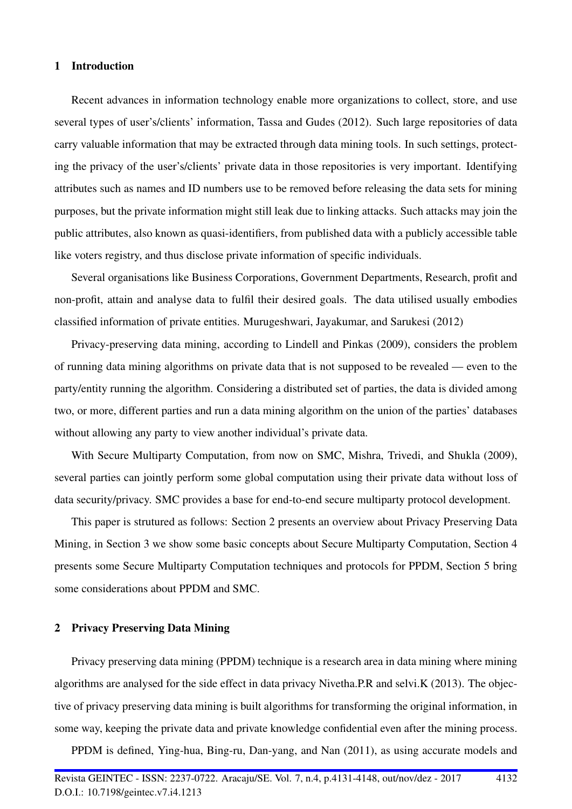#### 1 Introduction

Recent advances in information technology enable more organizations to collect, store, and use several types of user's/clients' information, Tassa and Gudes (2012). Such large repositories of data carry valuable information that may be extracted through data mining tools. In such settings, protecting the privacy of the user's/clients' private data in those repositories is very important. Identifying attributes such as names and ID numbers use to be removed before releasing the data sets for mining purposes, but the private information might still leak due to linking attacks. Such attacks may join the public attributes, also known as quasi-identifiers, from published data with a publicly accessible table like voters registry, and thus disclose private information of specific individuals.

Several organisations like Business Corporations, Government Departments, Research, profit and non-profit, attain and analyse data to fulfil their desired goals. The data utilised usually embodies classified information of private entities. Murugeshwari, Jayakumar, and Sarukesi (2012)

Privacy-preserving data mining, according to Lindell and Pinkas (2009), considers the problem of running data mining algorithms on private data that is not supposed to be revealed — even to the party/entity running the algorithm. Considering a distributed set of parties, the data is divided among two, or more, different parties and run a data mining algorithm on the union of the parties' databases without allowing any party to view another individual's private data.

With Secure Multiparty Computation, from now on SMC, Mishra, Trivedi, and Shukla (2009), several parties can jointly perform some global computation using their private data without loss of data security/privacy. SMC provides a base for end-to-end secure multiparty protocol development.

This paper is strutured as follows: Section 2 presents an overview about Privacy Preserving Data Mining, in Section 3 we show some basic concepts about Secure Multiparty Computation, Section 4 presents some Secure Multiparty Computation techniques and protocols for PPDM, Section 5 bring some considerations about PPDM and SMC.

### 2 Privacy Preserving Data Mining

Privacy preserving data mining (PPDM) technique is a research area in data mining where mining algorithms are analysed for the side effect in data privacy Nivetha.P.R and selvi.K (2013). The objective of privacy preserving data mining is built algorithms for transforming the original information, in some way, keeping the private data and private knowledge confidential even after the mining process.

PPDM is defined, Ying-hua, Bing-ru, Dan-yang, and Nan (2011), as using accurate models and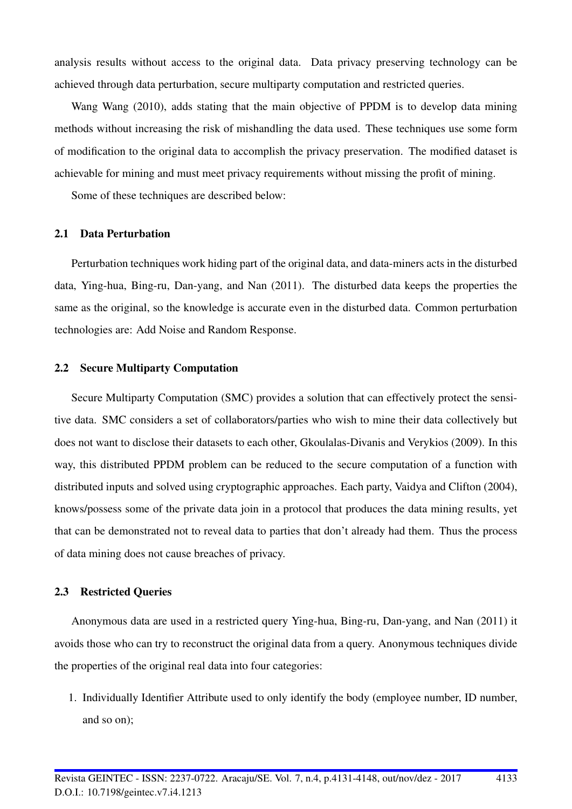analysis results without access to the original data. Data privacy preserving technology can be achieved through data perturbation, secure multiparty computation and restricted queries.

Wang Wang (2010), adds stating that the main objective of PPDM is to develop data mining methods without increasing the risk of mishandling the data used. These techniques use some form of modification to the original data to accomplish the privacy preservation. The modified dataset is achievable for mining and must meet privacy requirements without missing the profit of mining.

Some of these techniques are described below:

#### 2.1 Data Perturbation

Perturbation techniques work hiding part of the original data, and data-miners acts in the disturbed data, Ying-hua, Bing-ru, Dan-yang, and Nan (2011). The disturbed data keeps the properties the same as the original, so the knowledge is accurate even in the disturbed data. Common perturbation technologies are: Add Noise and Random Response.

#### 2.2 Secure Multiparty Computation

Secure Multiparty Computation (SMC) provides a solution that can effectively protect the sensitive data. SMC considers a set of collaborators/parties who wish to mine their data collectively but does not want to disclose their datasets to each other, Gkoulalas-Divanis and Verykios (2009). In this way, this distributed PPDM problem can be reduced to the secure computation of a function with distributed inputs and solved using cryptographic approaches. Each party, Vaidya and Clifton (2004), knows/possess some of the private data join in a protocol that produces the data mining results, yet that can be demonstrated not to reveal data to parties that don't already had them. Thus the process of data mining does not cause breaches of privacy.

### 2.3 Restricted Queries

Anonymous data are used in a restricted query Ying-hua, Bing-ru, Dan-yang, and Nan (2011) it avoids those who can try to reconstruct the original data from a query. Anonymous techniques divide the properties of the original real data into four categories:

1. Individually Identifier Attribute used to only identify the body (employee number, ID number, and so on);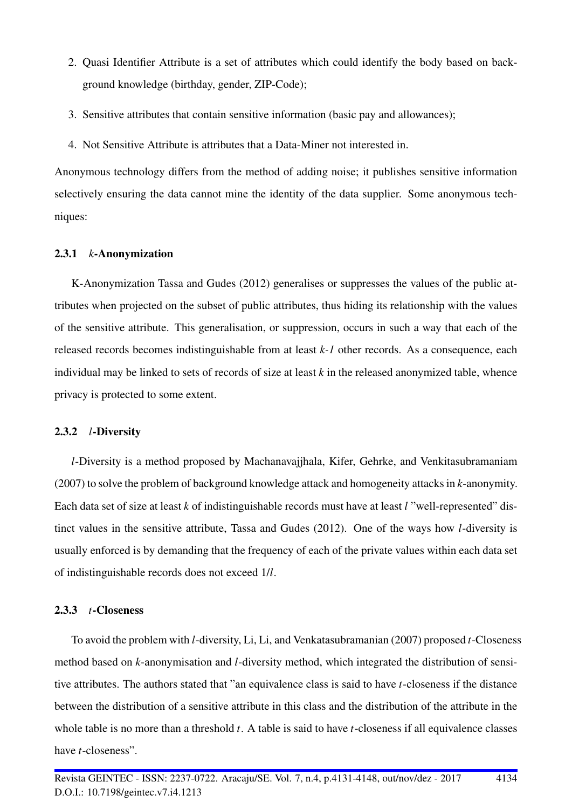- 2. Quasi Identifier Attribute is a set of attributes which could identify the body based on background knowledge (birthday, gender, ZIP-Code);
- 3. Sensitive attributes that contain sensitive information (basic pay and allowances);
- 4. Not Sensitive Attribute is attributes that a Data-Miner not interested in.

Anonymous technology differs from the method of adding noise; it publishes sensitive information selectively ensuring the data cannot mine the identity of the data supplier. Some anonymous techniques:

#### 2.3.1 *k*-Anonymization

K-Anonymization Tassa and Gudes (2012) generalises or suppresses the values of the public attributes when projected on the subset of public attributes, thus hiding its relationship with the values of the sensitive attribute. This generalisation, or suppression, occurs in such a way that each of the released records becomes indistinguishable from at least *k-1* other records. As a consequence, each individual may be linked to sets of records of size at least *k* in the released anonymized table, whence privacy is protected to some extent.

#### 2.3.2 *l*-Diversity

*l*-Diversity is a method proposed by Machanavajjhala, Kifer, Gehrke, and Venkitasubramaniam (2007) to solve the problem of background knowledge attack and homogeneity attacks in *k*-anonymity. Each data set of size at least *k* of indistinguishable records must have at least *l* "well-represented" distinct values in the sensitive attribute, Tassa and Gudes (2012). One of the ways how *l*-diversity is usually enforced is by demanding that the frequency of each of the private values within each data set of indistinguishable records does not exceed 1/*l*.

#### 2.3.3 *t*-Closeness

To avoid the problem with *l*-diversity, Li, Li, and Venkatasubramanian (2007) proposed *t*-Closeness method based on *k*-anonymisation and *l*-diversity method, which integrated the distribution of sensitive attributes. The authors stated that "an equivalence class is said to have *t*-closeness if the distance between the distribution of a sensitive attribute in this class and the distribution of the attribute in the whole table is no more than a threshold *t*. A table is said to have *t*-closeness if all equivalence classes have *t*-closeness".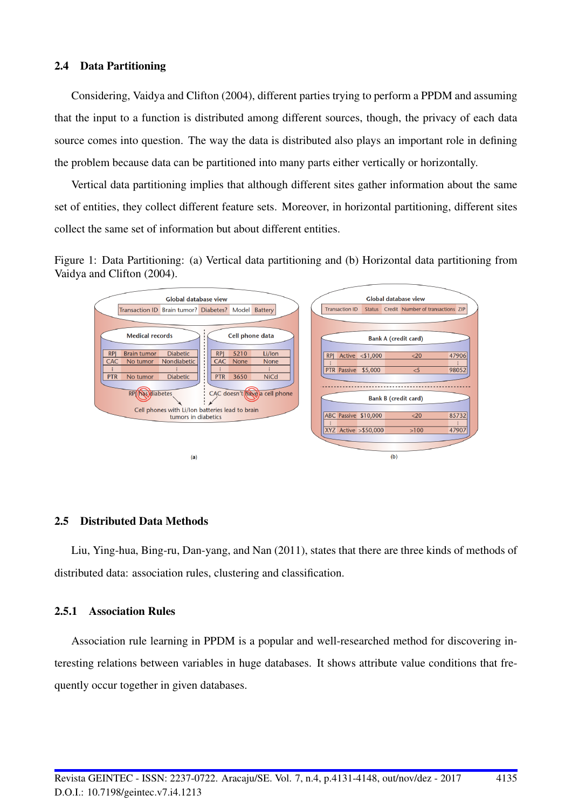### 2.4 Data Partitioning

Considering, Vaidya and Clifton (2004), different parties trying to perform a PPDM and assuming that the input to a function is distributed among different sources, though, the privacy of each data source comes into question. The way the data is distributed also plays an important role in defining the problem because data can be partitioned into many parts either vertically or horizontally.

Vertical data partitioning implies that although different sites gather information about the same set of entities, they collect different feature sets. Moreover, in horizontal partitioning, different sites collect the same set of information but about different entities.

Figure 1: Data Partitioning: (a) Vertical data partitioning and (b) Horizontal data partitioning from Vaidya and Clifton (2004).



#### 2.5 Distributed Data Methods

Liu, Ying-hua, Bing-ru, Dan-yang, and Nan (2011), states that there are three kinds of methods of distributed data: association rules, clustering and classification.

#### 2.5.1 Association Rules

Association rule learning in PPDM is a popular and well-researched method for discovering interesting relations between variables in huge databases. It shows attribute value conditions that frequently occur together in given databases.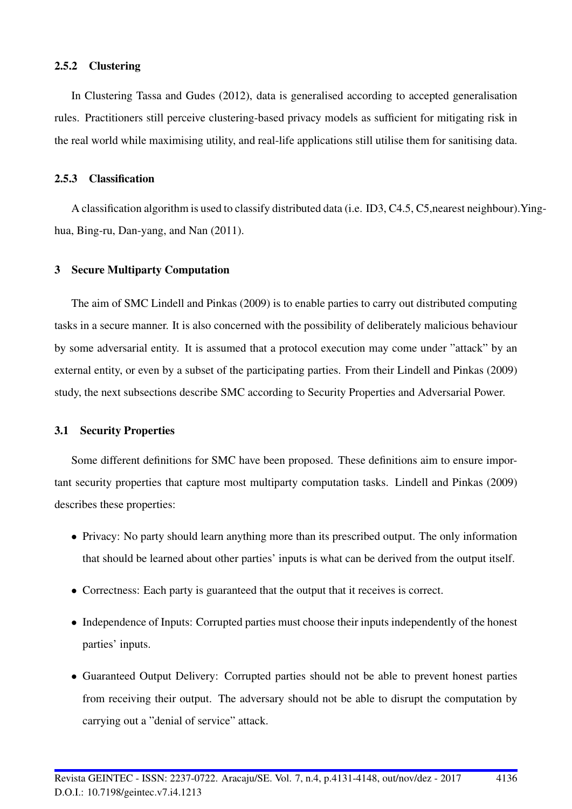#### 2.5.2 Clustering

In Clustering Tassa and Gudes (2012), data is generalised according to accepted generalisation rules. Practitioners still perceive clustering-based privacy models as sufficient for mitigating risk in the real world while maximising utility, and real-life applications still utilise them for sanitising data.

#### 2.5.3 Classification

A classification algorithm is used to classify distributed data (i.e. ID3, C4.5, C5,nearest neighbour).Yinghua, Bing-ru, Dan-yang, and Nan (2011).

#### 3 Secure Multiparty Computation

The aim of SMC Lindell and Pinkas (2009) is to enable parties to carry out distributed computing tasks in a secure manner. It is also concerned with the possibility of deliberately malicious behaviour by some adversarial entity. It is assumed that a protocol execution may come under "attack" by an external entity, or even by a subset of the participating parties. From their Lindell and Pinkas (2009) study, the next subsections describe SMC according to Security Properties and Adversarial Power.

#### 3.1 Security Properties

Some different definitions for SMC have been proposed. These definitions aim to ensure important security properties that capture most multiparty computation tasks. Lindell and Pinkas (2009) describes these properties:

- Privacy: No party should learn anything more than its prescribed output. The only information that should be learned about other parties' inputs is what can be derived from the output itself.
- Correctness: Each party is guaranteed that the output that it receives is correct.
- Independence of Inputs: Corrupted parties must choose their inputs independently of the honest parties' inputs.
- Guaranteed Output Delivery: Corrupted parties should not be able to prevent honest parties from receiving their output. The adversary should not be able to disrupt the computation by carrying out a "denial of service" attack.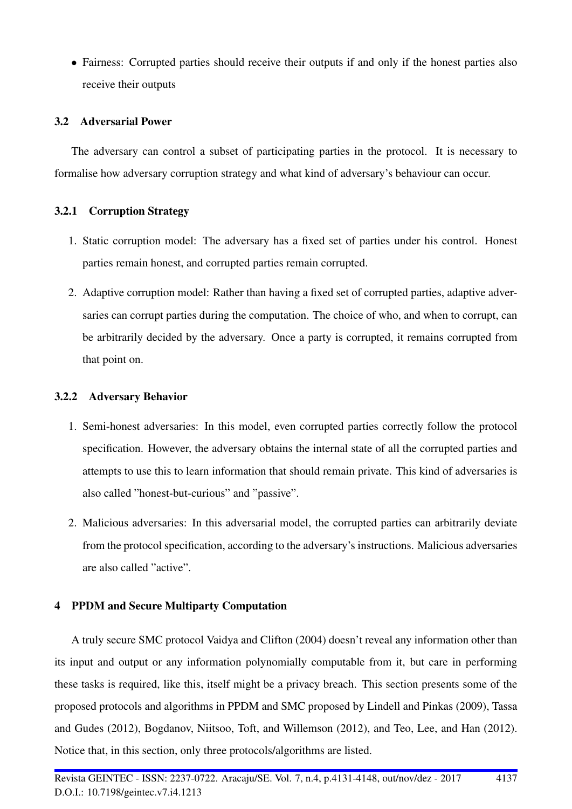• Fairness: Corrupted parties should receive their outputs if and only if the honest parties also receive their outputs

## 3.2 Adversarial Power

The adversary can control a subset of participating parties in the protocol. It is necessary to formalise how adversary corruption strategy and what kind of adversary's behaviour can occur.

## 3.2.1 Corruption Strategy

- 1. Static corruption model: The adversary has a fixed set of parties under his control. Honest parties remain honest, and corrupted parties remain corrupted.
- 2. Adaptive corruption model: Rather than having a fixed set of corrupted parties, adaptive adversaries can corrupt parties during the computation. The choice of who, and when to corrupt, can be arbitrarily decided by the adversary. Once a party is corrupted, it remains corrupted from that point on.

## 3.2.2 Adversary Behavior

- 1. Semi-honest adversaries: In this model, even corrupted parties correctly follow the protocol specification. However, the adversary obtains the internal state of all the corrupted parties and attempts to use this to learn information that should remain private. This kind of adversaries is also called "honest-but-curious" and "passive".
- 2. Malicious adversaries: In this adversarial model, the corrupted parties can arbitrarily deviate from the protocol specification, according to the adversary's instructions. Malicious adversaries are also called "active".

## 4 PPDM and Secure Multiparty Computation

A truly secure SMC protocol Vaidya and Clifton (2004) doesn't reveal any information other than its input and output or any information polynomially computable from it, but care in performing these tasks is required, like this, itself might be a privacy breach. This section presents some of the proposed protocols and algorithms in PPDM and SMC proposed by Lindell and Pinkas (2009), Tassa and Gudes (2012), Bogdanov, Niitsoo, Toft, and Willemson (2012), and Teo, Lee, and Han (2012). Notice that, in this section, only three protocols/algorithms are listed.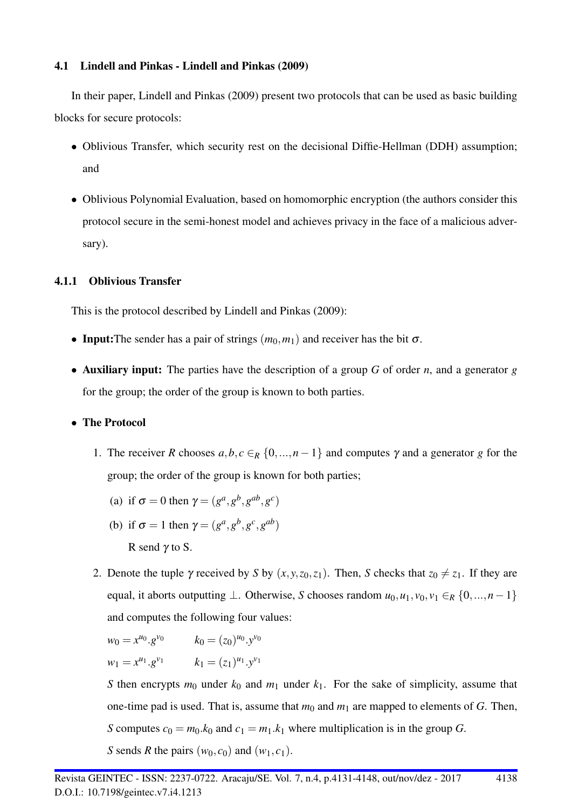## 4.1 Lindell and Pinkas - Lindell and Pinkas (2009)

In their paper, Lindell and Pinkas (2009) present two protocols that can be used as basic building blocks for secure protocols:

- Oblivious Transfer, which security rest on the decisional Diffie-Hellman (DDH) assumption; and
- Oblivious Polynomial Evaluation, based on homomorphic encryption (the authors consider this protocol secure in the semi-honest model and achieves privacy in the face of a malicious adversary).

# 4.1.1 Oblivious Transfer

This is the protocol described by Lindell and Pinkas (2009):

- Input: The sender has a pair of strings  $(m_0, m_1)$  and receiver has the bit  $\sigma$ .
- Auxiliary input: The parties have the description of a group *G* of order *n*, and a generator *g* for the group; the order of the group is known to both parties.

## • The Protocol

- 1. The receiver *R* chooses  $a, b, c \in_R \{0, ..., n-1\}$  and computes  $\gamma$  and a generator *g* for the group; the order of the group is known for both parties;
	- (a) if  $\sigma = 0$  then  $\gamma = (g^a, g^b, g^{ab}, g^c)$
	- (b) if  $\sigma = 1$  then  $\gamma = (g^a, g^b, g^c, g^{ab})$ R send  $\gamma$  to S.
- 2. Denote the tuple  $\gamma$  received by *S* by  $(x, y, z_0, z_1)$ . Then, *S* checks that  $z_0 \neq z_1$ . If they are equal, it aborts outputting  $\bot$ . Otherwise, *S* chooses random  $u_0, u_1, v_0, v_1 \in_R \{0, ..., n-1\}$ and computes the following four values:

$$
w_0 = x^{u_0} \cdot g^{v_0}
$$
  $k_0 = (z_0)^{u_0} \cdot y^{v_0}$   
\n $w_1 = x^{u_1} \cdot g^{v_1}$   $k_1 = (z_1)^{u_1} \cdot y^{v_1}$ 

*S* then encrypts  $m_0$  under  $k_0$  and  $m_1$  under  $k_1$ . For the sake of simplicity, assume that one-time pad is used. That is, assume that  $m_0$  and  $m_1$  are mapped to elements of *G*. Then, *S* computes  $c_0 = m_0.k_0$  and  $c_1 = m_1.k_1$  where multiplication is in the group *G*. *S* sends *R* the pairs  $(w_0, c_0)$  and  $(w_1, c_1)$ .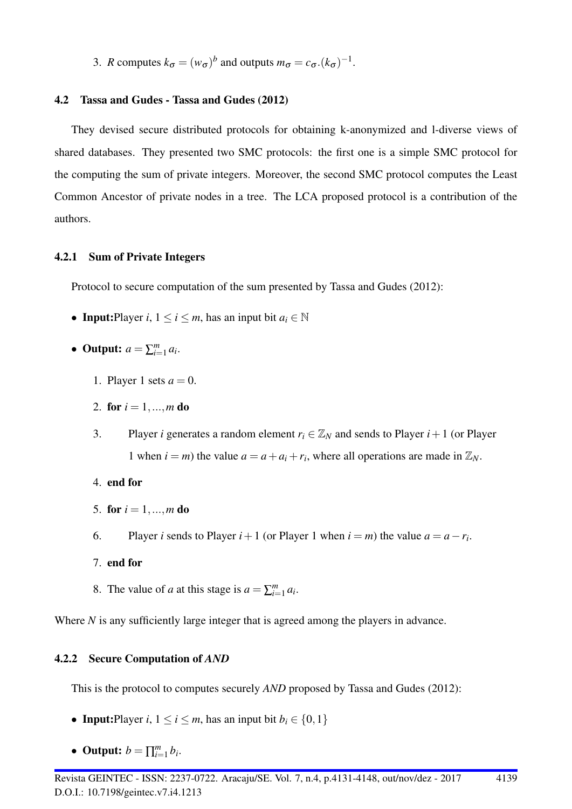3. *R* computes  $k_{\sigma} = (w_{\sigma})^b$  and outputs  $m_{\sigma} = c_{\sigma} (k_{\sigma})^{-1}$ .

## 4.2 Tassa and Gudes - Tassa and Gudes (2012)

They devised secure distributed protocols for obtaining k-anonymized and l-diverse views of shared databases. They presented two SMC protocols: the first one is a simple SMC protocol for the computing the sum of private integers. Moreover, the second SMC protocol computes the Least Common Ancestor of private nodes in a tree. The LCA proposed protocol is a contribution of the authors.

## 4.2.1 Sum of Private Integers

Protocol to secure computation of the sum presented by Tassa and Gudes (2012):

- Input:Player *i*,  $1 \le i \le m$ , has an input bit  $a_i \in \mathbb{N}$
- Output:  $a = \sum_{i=1}^{m} a_i$ .
	- 1. Player 1 sets  $a = 0$ .
	- 2. for  $i = 1, ..., m$  do
	- 3. Player *i* generates a random element  $r_i \in \mathbb{Z}_N$  and sends to Player  $i+1$  (or Player 1 when  $i = m$ ) the value  $a = a + a_i + r_i$ , where all operations are made in  $\mathbb{Z}_N$ .
	- 4. end for
	- 5. for  $i = 1, ..., m$  do
	- 6. Player *i* sends to Player *i* + 1 (or Player 1 when *i* = *m*) the value  $a = a r_i$ .
	- 7. end for
	- 8. The value of *a* at this stage is  $a = \sum_{i=1}^{m} a_i$ .

Where *N* is any sufficiently large integer that is agreed among the players in advance.

## 4.2.2 Secure Computation of *AND*

This is the protocol to computes securely *AND* proposed by Tassa and Gudes (2012):

- Input:Player *i*,  $1 \le i \le m$ , has an input bit  $b_i \in \{0, 1\}$
- Output:  $b = \prod_{i=1}^{m} b_i$ .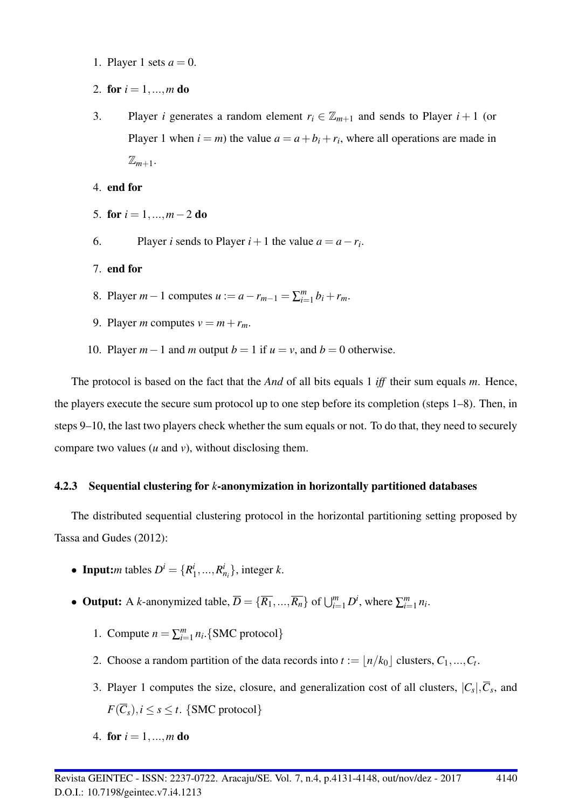- 1. Player 1 sets  $a = 0$ .
- 2. for  $i = 1, ..., m$  do
- 3. Player *i* generates a random element  $r_i \in \mathbb{Z}_{m+1}$  and sends to Player  $i+1$  (or Player 1 when  $i = m$ ) the value  $a = a + b_i + r_i$ , where all operations are made in  $\mathbb{Z}_{m+1}$ .
- 4. end for
- 5. for  $i = 1, ..., m-2$  do
- 6. Player *i* sends to Player  $i + 1$  the value  $a = a r_i$ .
- 7. end for
- 8. Player *m* − 1 computes *u* :=  $a r_{m-1} = \sum_{i=1}^{m} b_i + r_m$ .
- 9. Player *m* computes  $v = m + r_m$ .
- 10. Player  $m-1$  and  $m$  output  $b=1$  if  $u=v$ , and  $b=0$  otherwise.

The protocol is based on the fact that the *And* of all bits equals 1 *iff* their sum equals *m*. Hence, the players execute the secure sum protocol up to one step before its completion (steps 1–8). Then, in steps 9–10, the last two players check whether the sum equals or not. To do that, they need to securely compare two values (*u* and *v*), without disclosing them.

## 4.2.3 Sequential clustering for *k*-anonymization in horizontally partitioned databases

The distributed sequential clustering protocol in the horizontal partitioning setting proposed by Tassa and Gudes (2012):

- Input:*m* tables  $D^i = \{R^i\}$  $\{i_1, ..., R_{n_i}^i\}$ , integer *k*.
- Output: A *k*-anonymized table,  $\overline{D} = {\overline{R_1}, ..., \overline{R_n}}$  of  $\bigcup_{i=1}^m D^i$ , where  $\sum_{i=1}^m n_i$ .
	- 1. Compute  $n = \sum_{i=1}^{m} n_i$ . {SMC protocol}
	- 2. Choose a random partition of the data records into  $t := \lfloor n/k_0 \rfloor$  clusters,  $C_1, ..., C_t$ .
	- 3. Player 1 computes the size, closure, and generalization cost of all clusters,  $|C_s|$ ,  $\overline{C}_s$ , and  $F(\overline{C}_s), i \leq s \leq t$ . {SMC protocol}
	- 4. for  $i = 1, ..., m$  do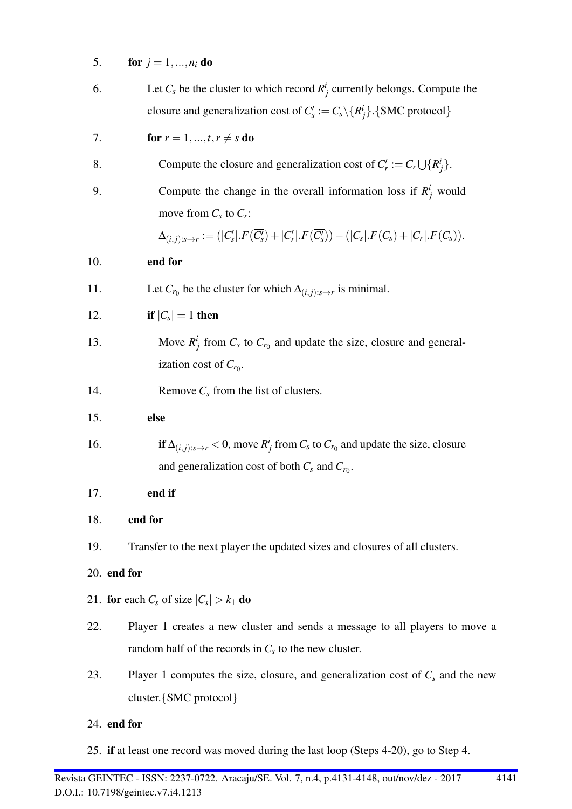|  | <b>for</b> $j = 1, , n_i$ <b>do</b> |
|--|-------------------------------------|

| 6. | Let $C_s$ be the cluster to which record $R_i^i$ currently belongs. Compute the       |
|----|---------------------------------------------------------------------------------------|
|    | closure and generalization cost of $C_s' := C_s \setminus \{R_i^i\}$ . {SMC protocol} |

7. **for** 
$$
r = 1, ..., t, r \neq s
$$
 **do**

| 8.  | Compute the closure and generalization cost of $C'_r := C_r \bigcup \{R^i_j\}.$                                                                       |
|-----|-------------------------------------------------------------------------------------------------------------------------------------------------------|
| 9.  | Compute the change in the overall information loss if $R_i^i$ would                                                                                   |
|     | move from $C_s$ to $C_r$ :                                                                                                                            |
|     | $\Delta_{(i,j):s\rightarrow r} := ( C'_s . F(\overline{C'_s}) +  C'_r . F(\overline{C'_s})) - ( C_s . F(\overline{C_s}) +  C_r . F(\overline{C_s})).$ |
| 10. | end for                                                                                                                                               |
| 11. | Let $C_{r_0}$ be the cluster for which $\Delta_{(i,j):s\to r}$ is minimal.                                                                            |
| 12. | if $ C_s =1$ then                                                                                                                                     |
| 13. | Move $R^i_j$ from $C_s$ to $C_{r_0}$ and update the size, closure and general-<br>ization cost of $C_{r_0}$ .                                         |
| 14. | Remove $C_s$ from the list of clusters.                                                                                                               |
| 15. | else                                                                                                                                                  |
| 16. | if $\Delta_{(i,j):s\to r}$ < 0, move $R_j^i$ from $C_s$ to $C_{r_0}$ and update the size, closure                                                     |
|     | and generalization cost of both $C_s$ and $C_{r_0}$ .                                                                                                 |
| 17. | end if                                                                                                                                                |
| 18. | end for                                                                                                                                               |
| 19. | Transfer to the next player the updated sizes and closures of all clusters.                                                                           |
|     | 20. end for                                                                                                                                           |
|     | 21. for each $C_s$ of size $ C_s  > k_1$ do                                                                                                           |
| 22. | Player 1 creates a new cluster and sends a message to all players to move a                                                                           |
|     | random half of the records in $C_s$ to the new cluster.                                                                                               |
| 23. | Player 1 computes the size, closure, and generalization cost of $C_s$ and the new                                                                     |
|     | cluster. {SMC protocol}                                                                                                                               |
|     | 24. end for                                                                                                                                           |

25. if at least one record was moved during the last loop (Steps 4-20), go to Step 4.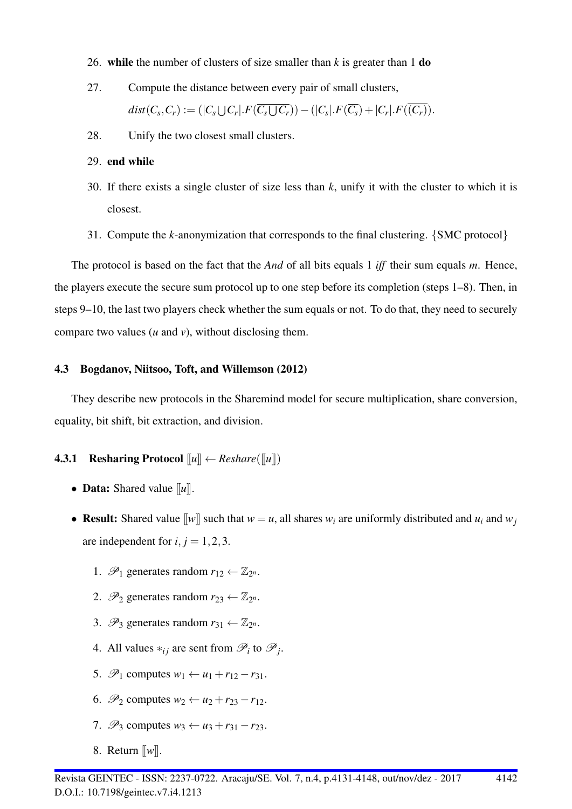- 26. while the number of clusters of size smaller than *k* is greater than 1 do
- 27. Compute the distance between every pair of small clusters,  $dist(C_s, C_r) := (|C_s \cup C_r| F(C_s \cup C_r)) - (|C_s| F(\overline{C_s}) + |C_r| F(C_r)).$
- 28. Unify the two closest small clusters.

#### 29. end while

- 30. If there exists a single cluster of size less than *k*, unify it with the cluster to which it is closest.
- 31. Compute the *k*-anonymization that corresponds to the final clustering. {SMC protocol}

The protocol is based on the fact that the *And* of all bits equals 1 *iff* their sum equals *m*. Hence, the players execute the secure sum protocol up to one step before its completion (steps 1–8). Then, in steps 9–10, the last two players check whether the sum equals or not. To do that, they need to securely compare two values (*u* and *v*), without disclosing them.

## 4.3 Bogdanov, Niitsoo, Toft, and Willemson (2012)

They describe new protocols in the Sharemind model for secure multiplication, share conversion, equality, bit shift, bit extraction, and division.

## **4.3.1 Resharing Protocol**  $\llbracket u \rrbracket \leftarrow Reshare(\llbracket u \rrbracket)$

- Data: Shared value [[*u*]].
- Result: Shared value  $\llbracket w \rrbracket$  such that  $w = u$ , all shares  $w_i$  are uniformly distributed and  $u_i$  and  $w_j$ are independent for  $i, j = 1, 2, 3$ .
	- 1.  $\mathscr{P}_1$  generates random  $r_{12} \leftarrow \mathbb{Z}_{2^n}$ .
	- 2.  $\mathscr{P}_2$  generates random  $r_{23} \leftarrow \mathbb{Z}_{2^n}$ .
	- 3.  $\mathscr{P}_3$  generates random  $r_{31} \leftarrow \mathbb{Z}_{2^n}$ .
	- 4. All values  $*_i_j$  are sent from  $\mathcal{P}_i$  to  $\mathcal{P}_j$ .
	- 5.  $\mathscr{P}_1$  computes  $w_1 \leftarrow u_1 + r_{12} r_{31}$ .
	- 6.  $\mathcal{P}_2$  computes  $w_2 \leftarrow u_2 + r_{23} r_{12}$ .
	- 7.  $\mathscr{P}_3$  computes  $w_3 \leftarrow u_3 + r_{31} r_{23}$ .
	- 8. Return [[*w*]].

4142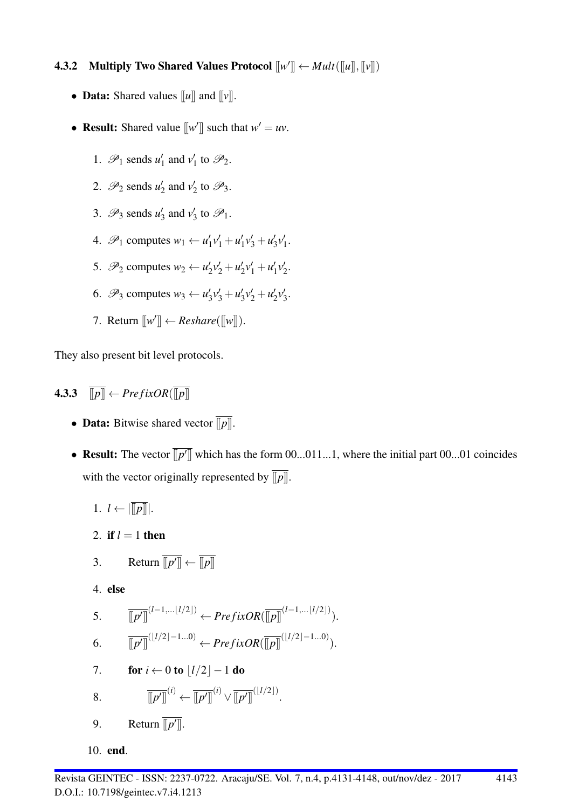# **4.3.2** Multiply Two Shared Values Protocol  $\llbracket w' \rrbracket \leftarrow Mult(\llbracket u \rrbracket, \llbracket v \rrbracket)$

- **Data:** Shared values  $\llbracket u \rrbracket$  and  $\llbracket v \rrbracket$ .
- **Result:** Shared value  $[[w']]$  such that  $w' = uv$ .
	- 1.  $\mathscr{P}_1$  sends  $u'_1$  $v_1'$  and  $v_1'$  $\frac{1}{1}$  to  $\mathscr{P}_2$ .
	- 2.  $\mathscr{P}_2$  sends  $u_2'$  $v_2'$  and  $v_2'$  $\frac{1}{2}$  to  $\mathscr{P}_3$ .
	- 3.  $\mathscr{P}_3$  sends  $u_3'$  $v_3'$  and  $v_3'$  $\frac{1}{3}$  to  $\mathscr{P}_1$ .
	- 4.  $\mathscr{P}_1$  computes  $w_1 \leftarrow u'_1$  $v'_1v'_1+u'_1$  $v'_1v'_3+u'_3$  $'_{3}v'_{1}$  $\frac{7}{1}$ .
	- 5.  $\mathscr{P}_2$  computes  $w_2 \leftarrow u'_2$  $v'_2v'_2+u'_2$  $v'_2v'_1+u'_1$  $v'_{1}v'_{2}$  $\frac{7}{2}$
	- 6.  $\mathscr{P}_3$  computes  $w_3 \leftarrow u'_3$  $v'_3v'_3+u'_3$  $v'_3v'_2+u'_2$  $2v'_{2}$  $\frac{7}{3}$ .
	- 7. Return  $[[w']] \leftarrow Reshare([\llbracket w \rrbracket)$ .

They also present bit level protocols.

**4.3.3**  $\overline{||p||} \leftarrow \text{PrefixOR}(\overline{||p||})$ 

- **Data:** Bitwise shared vector  $\overline{||p||}$ .
- Result: The vector  $\overline{[p']}$  which has the form 00...011...1, where the initial part 00...01 coincides with the vector originally represented by  $\overline{||p||}$ .
	- 1.  $l \leftarrow |\overline{||p||}|.$
	- 2. if  $l = 1$  then

3. Return 
$$
\overline{[[p']]} \leftarrow \overline{[[p]]}
$$

4. else

5. 
$$
\overline{[p']}^{(l-1,...\lfloor l/2 \rfloor)} \leftarrow \text{PrefixOR}(\overline{[p]}^{(l-1,...\lfloor l/2 \rfloor)}).
$$

$$
\overline{[p']}^{(l/2|-1,0)} \leftarrow \overline{[p']}^{(l-1,...\lfloor l/2 \rfloor)}.
$$

- $6. \qquad \overline{[p']]}^{(\lfloor l/2 \rfloor-1...0)} \leftarrow \text{PrefixOR}(\overline{[p]}]^{(\lfloor l/2 \rfloor-1...0)}).$
- 7. **for**  $i \leftarrow 0$  to  $|l/2| 1$  do

8. 
$$
\overline{\llbracket p'\rrbracket}^{(i)} \leftarrow \overline{\llbracket p'\rrbracket}^{(i)} \vee \overline{\llbracket p'\rrbracket}^{(\lfloor l/2\rfloor)}.
$$

9. Return  $\overline{[p']}.$ 

10. end.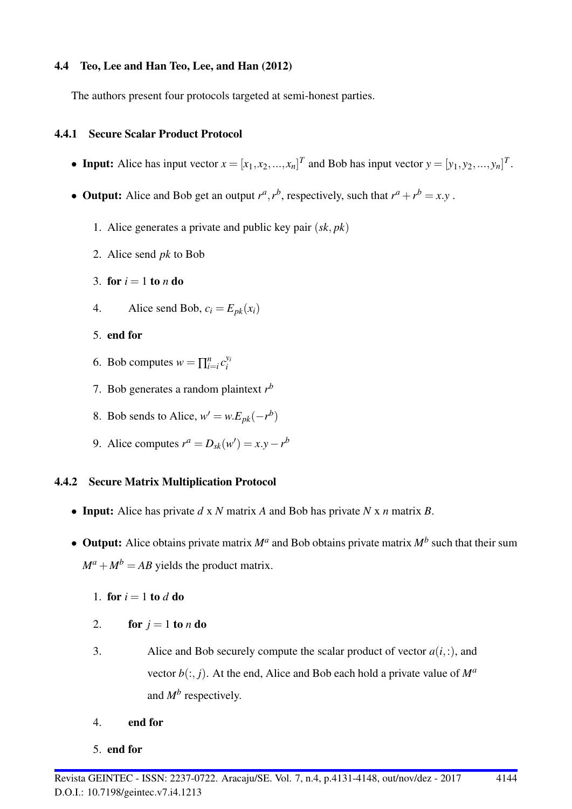## 4.4 Teo, Lee and Han Teo, Lee, and Han (2012)

The authors present four protocols targeted at semi-honest parties.

## 4.4.1 Secure Scalar Product Protocol

- Input: Alice has input vector  $x = [x_1, x_2, ..., x_n]^T$  and Bob has input vector  $y = [y_1, y_2, ..., y_n]^T$ .
- Output: Alice and Bob get an output  $r^a$ ,  $r^b$ , respectively, such that  $r^a + r^b = x.y$ .
	- 1. Alice generates a private and public key pair (*sk*, *pk*)
	- 2. Alice send *pk* to Bob
	- 3. for  $i = 1$  to *n* do
	- 4. Alice send Bob,  $c_i = E_{pk}(x_i)$
	- 5. end for
	- 6. Bob computes  $w = \prod_{i=i}^{n} c_i^{y_i}$ *i*
	- 7. Bob generates a random plaintext *r b*
	- 8. Bob sends to Alice,  $w' = w.E_{pk}(-r^b)$
	- 9. Alice computes  $r^a = D_{sk}(w') = x.y r^b$

## 4.4.2 Secure Matrix Multiplication Protocol

- Input: Alice has private *d* x *N* matrix *A* and Bob has private *N* x *n* matrix *B*.
- Output: Alice obtains private matrix  $M^a$  and Bob obtains private matrix  $M^b$  such that their sum  $M^a + M^b = AB$  yields the product matrix.
	- 1. for  $i = 1$  to  $d$  do
	- 2. for  $j = 1$  to *n* do
	- 3. Alice and Bob securely compute the scalar product of vector  $a(i,:)$ , and vector  $b(:, j)$ . At the end, Alice and Bob each hold a private value of  $M^a$ and *M<sup>b</sup>* respectively.
	- 4. end for
	- 5. end for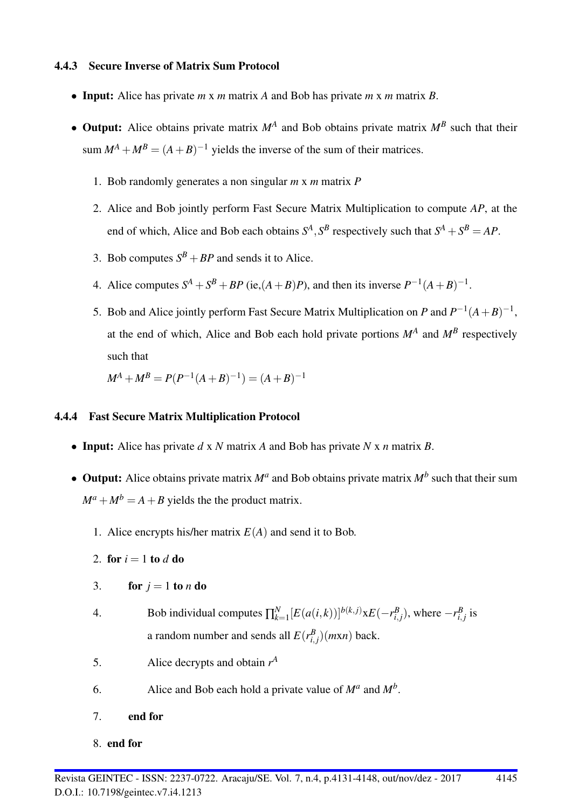## 4.4.3 Secure Inverse of Matrix Sum Protocol

- Input: Alice has private *m* x *m* matrix *A* and Bob has private *m* x *m* matrix *B*.
- Output: Alice obtains private matrix  $M^A$  and Bob obtains private matrix  $M^B$  such that their sum  $M^A + M^B = (A + B)^{-1}$  yields the inverse of the sum of their matrices.
	- 1. Bob randomly generates a non singular *m* x *m* matrix *P*
	- 2. Alice and Bob jointly perform Fast Secure Matrix Multiplication to compute *AP*, at the end of which, Alice and Bob each obtains  $S^A$ ,  $S^B$  respectively such that  $S^A + S^B = AP$ .
	- 3. Bob computes  $S^B + BP$  and sends it to Alice.
	- 4. Alice computes  $S^A + S^B + BP$  (ie, $(A + B)P$ ), and then its inverse  $P^{-1}(A + B)^{-1}$ .
	- 5. Bob and Alice jointly perform Fast Secure Matrix Multiplication on *P* and  $P^{-1}(A+B)^{-1}$ , at the end of which, Alice and Bob each hold private portions  $M^A$  and  $M^B$  respectively such that

 $M^A + M^B = P(P^{-1}(A+B)^{-1}) = (A+B)^{-1}$ 

## 4.4.4 Fast Secure Matrix Multiplication Protocol

- Input: Alice has private *d* x *N* matrix *A* and Bob has private *N* x *n* matrix *B*.
- Output: Alice obtains private matrix  $M^a$  and Bob obtains private matrix  $M^b$  such that their sum  $M^a + M^b = A + B$  yields the the product matrix.
	- 1. Alice encrypts his/her matrix  $E(A)$  and send it to Bob.
	- 2. for  $i = 1$  to  $d$  do
	- 3. for  $j = 1$  to *n* do
	- 4. Bob individual computes  $\prod_{k=1}^{N}$  $\sum_{k=1}^{N} [E(a(i,k))]^{b(k,j)} \times E(-r_{i,j}^B)$ , where  $-r_{i,j}^B$  is a random number and sends all  $E(r_{i,j}^B)(mxn)$  back.
	- 5. Alice decrypts and obtain  $r^A$
	- 6. Alice and Bob each hold a private value of  $M^a$  and  $M^b$ .
	- 7. end for
	- 8. end for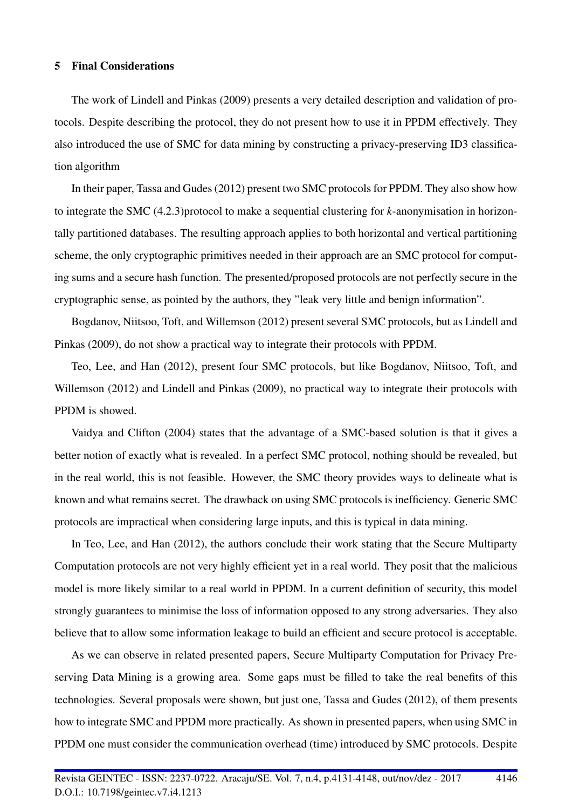#### 5 Final Considerations

The work of Lindell and Pinkas (2009) presents a very detailed description and validation of protocols. Despite describing the protocol, they do not present how to use it in PPDM effectively. They also introduced the use of SMC for data mining by constructing a privacy-preserving ID3 classification algorithm

In their paper, Tassa and Gudes (2012) present two SMC protocols for PPDM. They also show how to integrate the SMC (4.2.3)protocol to make a sequential clustering for *k*-anonymisation in horizontally partitioned databases. The resulting approach applies to both horizontal and vertical partitioning scheme, the only cryptographic primitives needed in their approach are an SMC protocol for computing sums and a secure hash function. The presented/proposed protocols are not perfectly secure in the cryptographic sense, as pointed by the authors, they "leak very little and benign information".

Bogdanov, Niitsoo, Toft, and Willemson (2012) present several SMC protocols, but as Lindell and Pinkas (2009), do not show a practical way to integrate their protocols with PPDM.

Teo, Lee, and Han (2012), present four SMC protocols, but like Bogdanov, Niitsoo, Toft, and Willemson (2012) and Lindell and Pinkas (2009), no practical way to integrate their protocols with PPDM is showed.

Vaidya and Clifton (2004) states that the advantage of a SMC-based solution is that it gives a better notion of exactly what is revealed. In a perfect SMC protocol, nothing should be revealed, but in the real world, this is not feasible. However, the SMC theory provides ways to delineate what is known and what remains secret. The drawback on using SMC protocols is inefficiency. Generic SMC protocols are impractical when considering large inputs, and this is typical in data mining.

In Teo, Lee, and Han (2012), the authors conclude their work stating that the Secure Multiparty Computation protocols are not very highly efficient yet in a real world. They posit that the malicious model is more likely similar to a real world in PPDM. In a current definition of security, this model strongly guarantees to minimise the loss of information opposed to any strong adversaries. They also believe that to allow some information leakage to build an efficient and secure protocol is acceptable.

As we can observe in related presented papers, Secure Multiparty Computation for Privacy Preserving Data Mining is a growing area. Some gaps must be filled to take the real benefits of this technologies. Several proposals were shown, but just one, Tassa and Gudes (2012), of them presents how to integrate SMC and PPDM more practically. As shown in presented papers, when using SMC in PPDM one must consider the communication overhead (time) introduced by SMC protocols. Despite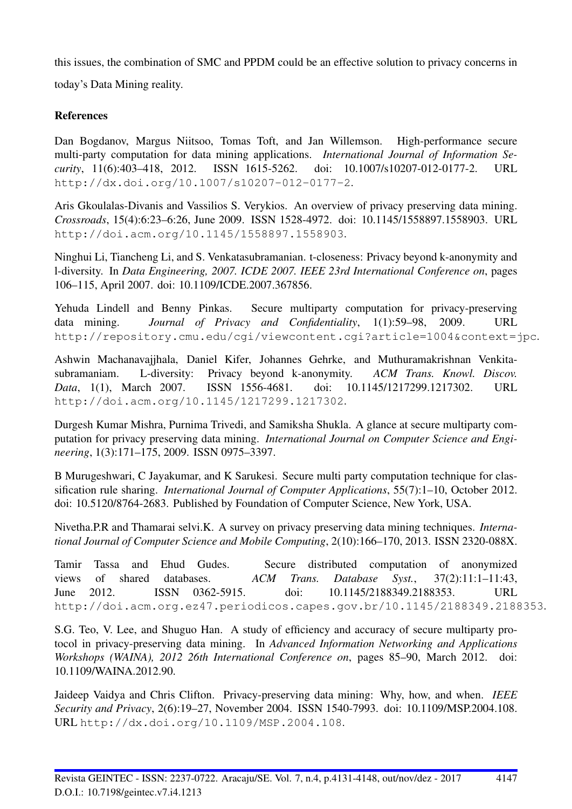this issues, the combination of SMC and PPDM could be an effective solution to privacy concerns in today's Data Mining reality.

## **References**

Dan Bogdanov, Margus Niitsoo, Tomas Toft, and Jan Willemson. High-performance secure multi-party computation for data mining applications. *International Journal of Information Security*, 11(6):403–418, 2012. ISSN 1615-5262. doi: 10.1007/s10207-012-0177-2. URL http://dx.doi.org/10.1007/s10207-012-0177-2.

Aris Gkoulalas-Divanis and Vassilios S. Verykios. An overview of privacy preserving data mining. *Crossroads*, 15(4):6:23–6:26, June 2009. ISSN 1528-4972. doi: 10.1145/1558897.1558903. URL http://doi.acm.org/10.1145/1558897.1558903.

Ninghui Li, Tiancheng Li, and S. Venkatasubramanian. t-closeness: Privacy beyond k-anonymity and l-diversity. In *Data Engineering, 2007. ICDE 2007. IEEE 23rd International Conference on*, pages 106–115, April 2007. doi: 10.1109/ICDE.2007.367856.

Yehuda Lindell and Benny Pinkas. Secure multiparty computation for privacy-preserving data mining. *Journal of Privacy and Confidentiality*, 1(1):59–98, 2009. URL http://repository.cmu.edu/cgi/viewcontent.cgi?article=1004&context=jpc.

Ashwin Machanavajjhala, Daniel Kifer, Johannes Gehrke, and Muthuramakrishnan Venkitasubramaniam. L-diversity: Privacy beyond k-anonymity. *ACM Trans. Knowl. Discov. Data*, 1(1), March 2007. ISSN 1556-4681. doi: 10.1145/1217299.1217302. URL http://doi.acm.org/10.1145/1217299.1217302.

Durgesh Kumar Mishra, Purnima Trivedi, and Samiksha Shukla. A glance at secure multiparty computation for privacy preserving data mining. *International Journal on Computer Science and Engineering*, 1(3):171–175, 2009. ISSN 0975–3397.

B Murugeshwari, C Jayakumar, and K Sarukesi. Secure multi party computation technique for classification rule sharing. *International Journal of Computer Applications*, 55(7):1–10, October 2012. doi: 10.5120/8764-2683. Published by Foundation of Computer Science, New York, USA.

Nivetha.P.R and Thamarai selvi.K. A survey on privacy preserving data mining techniques. *International Journal of Computer Science and Mobile Computing*, 2(10):166–170, 2013. ISSN 2320-088X.

Tamir Tassa and Ehud Gudes. Secure distributed computation of anonymized views of shared databases. *ACM Trans. Database Syst.*, 37(2):11:1–11:43, June 2012. ISSN 0362-5915. doi: 10.1145/2188349.2188353. URL http://doi.acm.org.ez47.periodicos.capes.gov.br/10.1145/2188349.2188353.

S.G. Teo, V. Lee, and Shuguo Han. A study of efficiency and accuracy of secure multiparty protocol in privacy-preserving data mining. In *Advanced Information Networking and Applications Workshops (WAINA), 2012 26th International Conference on*, pages 85–90, March 2012. doi: 10.1109/WAINA.2012.90.

Jaideep Vaidya and Chris Clifton. Privacy-preserving data mining: Why, how, and when. *IEEE Security and Privacy*, 2(6):19–27, November 2004. ISSN 1540-7993. doi: 10.1109/MSP.2004.108. URL http://dx.doi.org/10.1109/MSP.2004.108.